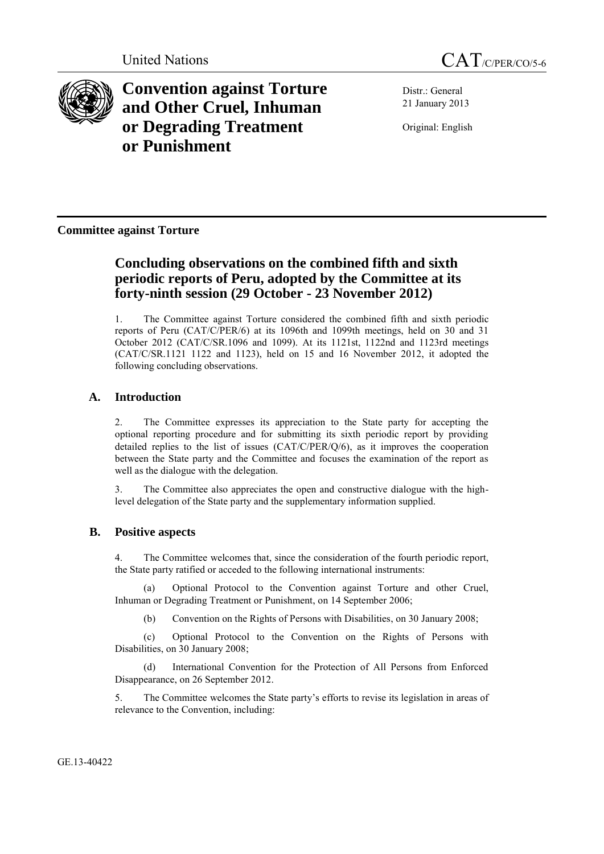



**Convention against Torture and Other Cruel, Inhuman or Degrading Treatment or Punishment**

Distr.: General 21 January 2013

Original: English

**Committee against Torture**

# **Concluding observations on the combined fifth and sixth periodic reports of Peru, adopted by the Committee at its forty-ninth session (29 October - 23 November 2012)**

1. The Committee against Torture considered the combined fifth and sixth periodic reports of Peru (CAT/C/PER/6) at its 1096th and 1099th meetings, held on 30 and 31 October 2012 (CAT/C/SR.1096 and 1099). At its 1121st, 1122nd and 1123rd meetings (CAT/C/SR.1121 1122 and 1123), held on 15 and 16 November 2012, it adopted the following concluding observations.

## **A. Introduction**

2. The Committee expresses its appreciation to the State party for accepting the optional reporting procedure and for submitting its sixth periodic report by providing detailed replies to the list of issues (CAT/C/PER/Q/6), as it improves the cooperation between the State party and the Committee and focuses the examination of the report as well as the dialogue with the delegation.

3. The Committee also appreciates the open and constructive dialogue with the highlevel delegation of the State party and the supplementary information supplied.

## **B. Positive aspects**

4. The Committee welcomes that, since the consideration of the fourth periodic report, the State party ratified or acceded to the following international instruments:

Optional Protocol to the Convention against Torture and other Cruel, Inhuman or Degrading Treatment or Punishment, on 14 September 2006;

(b) Convention on the Rights of Persons with Disabilities, on 30 January 2008;

(c) Optional Protocol to the Convention on the Rights of Persons with Disabilities, on 30 January 2008;

(d) International Convention for the Protection of All Persons from Enforced Disappearance, on 26 September 2012.

5. The Committee welcomes the State party's efforts to revise its legislation in areas of relevance to the Convention, including:

GE.13-40422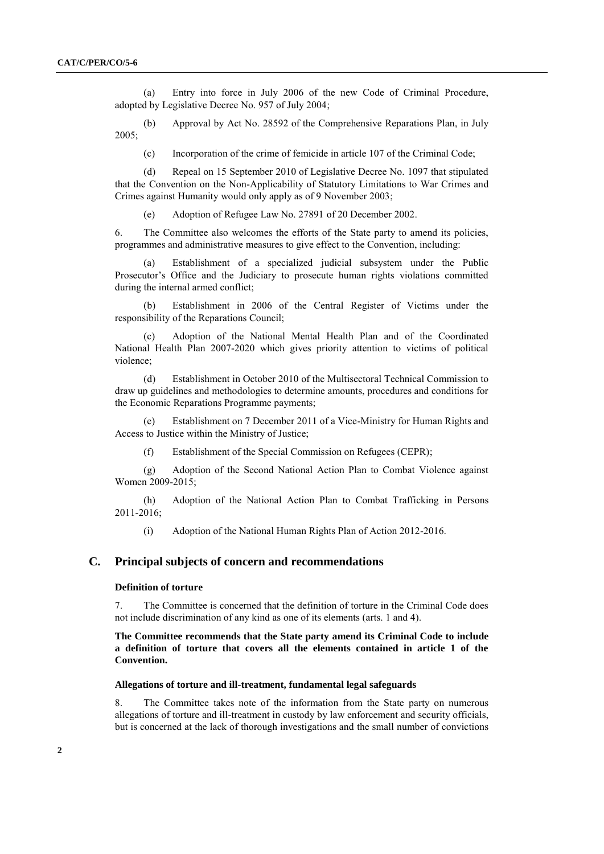(a) Entry into force in July 2006 of the new Code of Criminal Procedure, adopted by Legislative Decree No. 957 of July 2004;

(b) Approval by Act No. 28592 of the Comprehensive Reparations Plan, in July 2005;

(c) Incorporation of the crime of femicide in article 107 of the Criminal Code;

(d) Repeal on 15 September 2010 of Legislative Decree No. 1097 that stipulated that the Convention on the Non-Applicability of Statutory Limitations to War Crimes and Crimes against Humanity would only apply as of 9 November 2003;

(e) Adoption of Refugee Law No. 27891 of 20 December 2002.

6. The Committee also welcomes the efforts of the State party to amend its policies, programmes and administrative measures to give effect to the Convention, including:

(a) Establishment of a specialized judicial subsystem under the Public Prosecutor's Office and the Judiciary to prosecute human rights violations committed during the internal armed conflict;

(b) Establishment in 2006 of the Central Register of Victims under the responsibility of the Reparations Council;

(c) Adoption of the National Mental Health Plan and of the Coordinated National Health Plan 2007-2020 which gives priority attention to victims of political violence;

(d) Establishment in October 2010 of the Multisectoral Technical Commission to draw up guidelines and methodologies to determine amounts, procedures and conditions for the Economic Reparations Programme payments;

(e) Establishment on 7 December 2011 of a Vice-Ministry for Human Rights and Access to Justice within the Ministry of Justice;

(f) Establishment of the Special Commission on Refugees (CEPR);

(g) Adoption of the Second National Action Plan to Combat Violence against Women 2009-2015;

(h) Adoption of the National Action Plan to Combat Trafficking in Persons 2011-2016;

(i) Adoption of the National Human Rights Plan of Action 2012-2016.

## **C. Principal subjects of concern and recommendations**

#### **Definition of torture**

7. The Committee is concerned that the definition of torture in the Criminal Code does not include discrimination of any kind as one of its elements (arts. 1 and 4).

## **The Committee recommends that the State party amend its Criminal Code to include a definition of torture that covers all the elements contained in article 1 of the Convention.**

#### **Allegations of torture and ill-treatment, fundamental legal safeguards**

8. The Committee takes note of the information from the State party on numerous allegations of torture and ill-treatment in custody by law enforcement and security officials, but is concerned at the lack of thorough investigations and the small number of convictions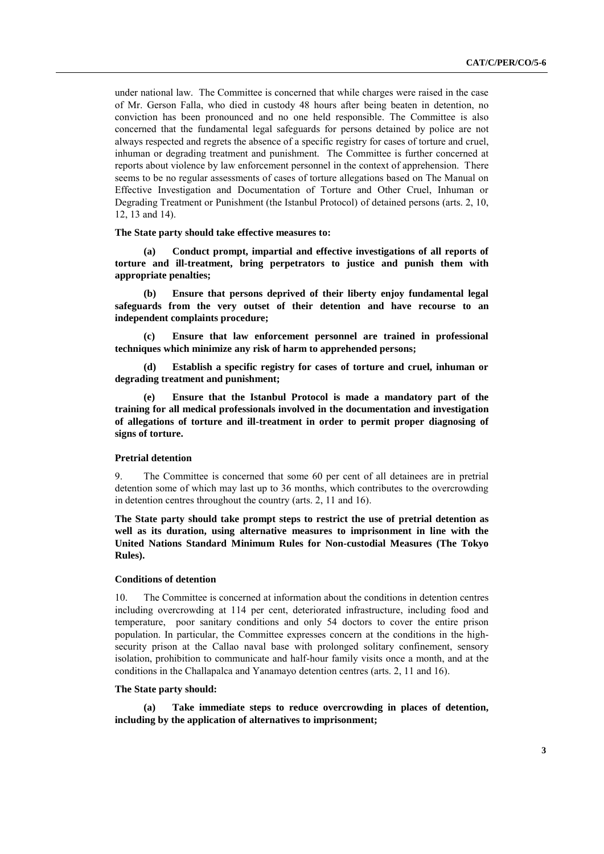under national law. The Committee is concerned that while charges were raised in the case of Mr. Gerson Falla, who died in custody 48 hours after being beaten in detention, no conviction has been pronounced and no one held responsible. The Committee is also concerned that the fundamental legal safeguards for persons detained by police are not always respected and regrets the absence of a specific registry for cases of torture and cruel, inhuman or degrading treatment and punishment. The Committee is further concerned at reports about violence by law enforcement personnel in the context of apprehension. There seems to be no regular assessments of cases of torture allegations based on The Manual on Effective Investigation and Documentation of Torture and Other Cruel, Inhuman or Degrading Treatment or Punishment (the Istanbul Protocol) of detained persons (arts. 2, 10, 12, 13 and 14).

**The State party should take effective measures to:**

**(a) Conduct prompt, impartial and effective investigations of all reports of torture and ill-treatment, bring perpetrators to justice and punish them with appropriate penalties;** 

**(b) Ensure that persons deprived of their liberty enjoy fundamental legal safeguards from the very outset of their detention and have recourse to an independent complaints procedure;**

**(c) Ensure that law enforcement personnel are trained in professional techniques which minimize any risk of harm to apprehended persons;**

**(d) Establish a specific registry for cases of torture and cruel, inhuman or degrading treatment and punishment;**

**(e) Ensure that the Istanbul Protocol is made a mandatory part of the training for all medical professionals involved in the documentation and investigation of allegations of torture and ill-treatment in order to permit proper diagnosing of signs of torture.**

#### **Pretrial detention**

9. The Committee is concerned that some 60 per cent of all detainees are in pretrial detention some of which may last up to 36 months, which contributes to the overcrowding in detention centres throughout the country (arts. 2, 11 and 16).

**The State party should take prompt steps to restrict the use of pretrial detention as well as its duration, using alternative measures to imprisonment in line with the United Nations Standard Minimum Rules for Non-custodial Measures (The Tokyo Rules).** 

#### **Conditions of detention**

10. The Committee is concerned at information about the conditions in detention centres including overcrowding at 114 per cent, deteriorated infrastructure, including food and temperature, poor sanitary conditions and only 54 doctors to cover the entire prison population. In particular, the Committee expresses concern at the conditions in the highsecurity prison at the Callao naval base with prolonged solitary confinement, sensory isolation, prohibition to communicate and half-hour family visits once a month, and at the conditions in the Challapalca and Yanamayo detention centres (arts. 2, 11 and 16).

#### **The State party should:**

**(a) Take immediate steps to reduce overcrowding in places of detention, including by the application of alternatives to imprisonment;**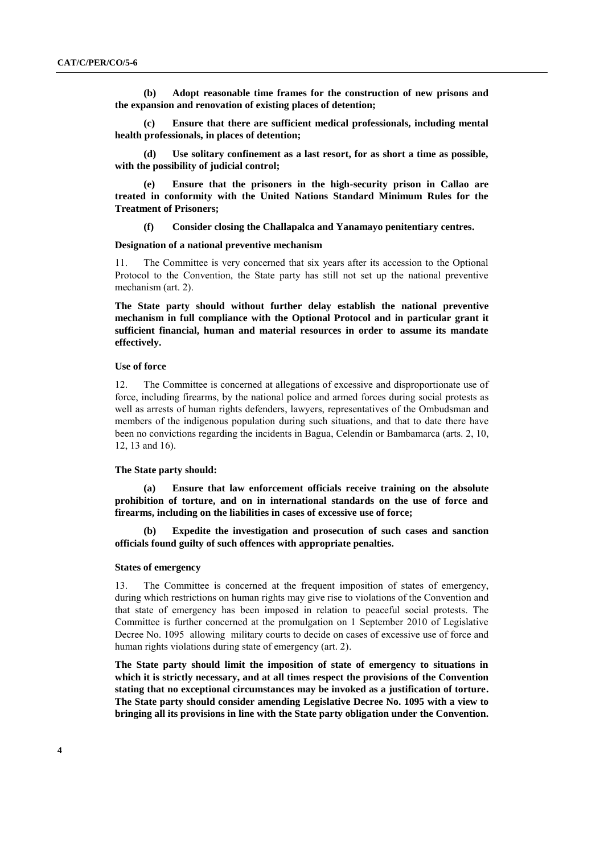**(b) Adopt reasonable time frames for the construction of new prisons and the expansion and renovation of existing places of detention;**

**(c) Ensure that there are sufficient medical professionals, including mental health professionals, in places of detention;**

**(d) Use solitary confinement as a last resort, for as short a time as possible, with the possibility of judicial control;** 

**(e) Ensure that the prisoners in the high-security prison in Callao are treated in conformity with the United Nations Standard Minimum Rules for the Treatment of Prisoners;**

**(f) Consider closing the Challapalca and Yanamayo penitentiary centres.**

#### **Designation of a national preventive mechanism**

11. The Committee is very concerned that six years after its accession to the Optional Protocol to the Convention, the State party has still not set up the national preventive mechanism (art. 2).

**The State party should without further delay establish the national preventive mechanism in full compliance with the Optional Protocol and in particular grant it sufficient financial, human and material resources in order to assume its mandate effectively.**

#### **Use of force**

12. The Committee is concerned at allegations of excessive and disproportionate use of force, including firearms, by the national police and armed forces during social protests as well as arrests of human rights defenders, lawyers, representatives of the Ombudsman and members of the indigenous population during such situations, and that to date there have been no convictions regarding the incidents in Bagua, Celendín or Bambamarca (arts. 2, 10, 12, 13 and 16).

#### **The State party should:**

**(a) Ensure that law enforcement officials receive training on the absolute prohibition of torture, and on in international standards on the use of force and firearms, including on the liabilities in cases of excessive use of force;**

**(b) Expedite the investigation and prosecution of such cases and sanction officials found guilty of such offences with appropriate penalties.**

#### **States of emergency**

13. The Committee is concerned at the frequent imposition of states of emergency, during which restrictions on human rights may give rise to violations of the Convention and that state of emergency has been imposed in relation to peaceful social protests. The Committee is further concerned at the promulgation on 1 September 2010 of Legislative Decree No. 1095 allowing military courts to decide on cases of excessive use of force and human rights violations during state of emergency (art. 2).

**The State party should limit the imposition of state of emergency to situations in which it is strictly necessary, and at all times respect the provisions of the Convention stating that no exceptional circumstances may be invoked as a justification of torture. The State party should consider amending Legislative Decree No. 1095 with a view to bringing all its provisions in line with the State party obligation under the Convention.**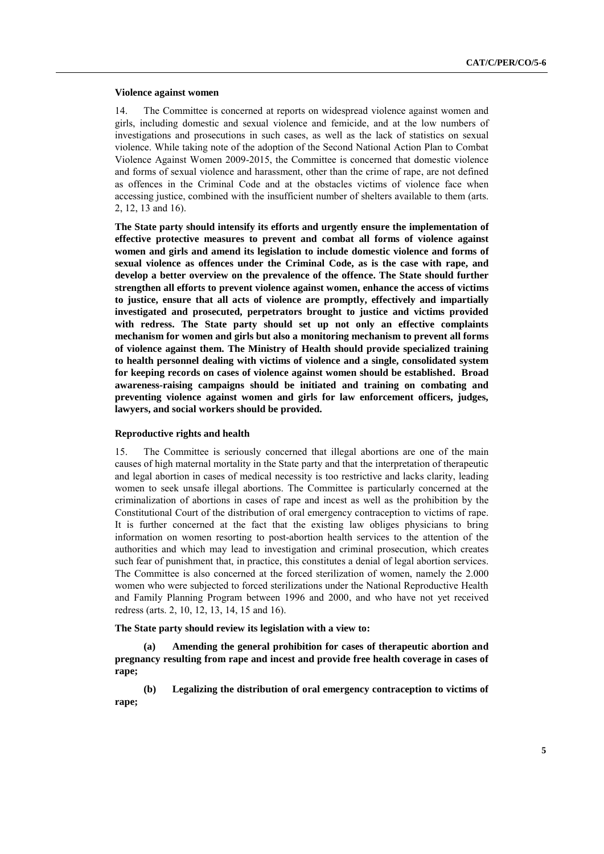#### **Violence against women**

14. The Committee is concerned at reports on widespread violence against women and girls, including domestic and sexual violence and femicide, and at the low numbers of investigations and prosecutions in such cases, as well as the lack of statistics on sexual violence. While taking note of the adoption of the Second National Action Plan to Combat Violence Against Women 2009-2015, the Committee is concerned that domestic violence and forms of sexual violence and harassment, other than the crime of rape, are not defined as offences in the Criminal Code and at the obstacles victims of violence face when accessing justice, combined with the insufficient number of shelters available to them (arts. 2, 12, 13 and 16).

**The State party should intensify its efforts and urgently ensure the implementation of effective protective measures to prevent and combat all forms of violence against women and girls and amend its legislation to include domestic violence and forms of sexual violence as offences under the Criminal Code, as is the case with rape, and develop a better overview on the prevalence of the offence. The State should further strengthen all efforts to prevent violence against women, enhance the access of victims to justice, ensure that all acts of violence are promptly, effectively and impartially investigated and prosecuted, perpetrators brought to justice and victims provided with redress. The State party should set up not only an effective complaints mechanism for women and girls but also a monitoring mechanism to prevent all forms of violence against them. The Ministry of Health should provide specialized training to health personnel dealing with victims of violence and a single, consolidated system for keeping records on cases of violence against women should be established. Broad awareness-raising campaigns should be initiated and training on combating and preventing violence against women and girls for law enforcement officers, judges, lawyers, and social workers should be provided.** 

#### **Reproductive rights and health**

15. The Committee is seriously concerned that illegal abortions are one of the main causes of high maternal mortality in the State party and that the interpretation of therapeutic and legal abortion in cases of medical necessity is too restrictive and lacks clarity, leading women to seek unsafe illegal abortions. The Committee is particularly concerned at the criminalization of abortions in cases of rape and incest as well as the prohibition by the Constitutional Court of the distribution of oral emergency contraception to victims of rape. It is further concerned at the fact that the existing law obliges physicians to bring information on women resorting to post-abortion health services to the attention of the authorities and which may lead to investigation and criminal prosecution, which creates such fear of punishment that, in practice, this constitutes a denial of legal abortion services. The Committee is also concerned at the forced sterilization of women, namely the 2.000 women who were subjected to forced sterilizations under the National Reproductive Health and Family Planning Program between 1996 and 2000, and who have not yet received redress (arts. 2, 10, 12, 13, 14, 15 and 16).

**The State party should review its legislation with a view to:**

**(a) Amending the general prohibition for cases of therapeutic abortion and pregnancy resulting from rape and incest and provide free health coverage in cases of rape;**

**(b) Legalizing the distribution of oral emergency contraception to victims of rape;**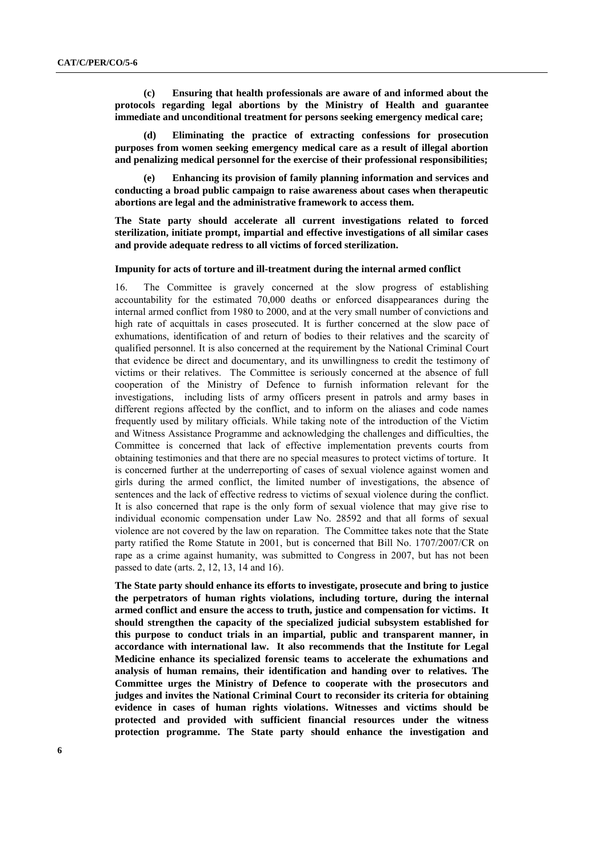**(c) Ensuring that health professionals are aware of and informed about the protocols regarding legal abortions by the Ministry of Health and guarantee immediate and unconditional treatment for persons seeking emergency medical care;**

**(d) Eliminating the practice of extracting confessions for prosecution purposes from women seeking emergency medical care as a result of illegal abortion and penalizing medical personnel for the exercise of their professional responsibilities;**

**(e) Enhancing its provision of family planning information and services and conducting a broad public campaign to raise awareness about cases when therapeutic abortions are legal and the administrative framework to access them.**

**The State party should accelerate all current investigations related to forced sterilization, initiate prompt, impartial and effective investigations of all similar cases and provide adequate redress to all victims of forced sterilization.**

#### **Impunity for acts of torture and ill-treatment during the internal armed conflict**

16. The Committee is gravely concerned at the slow progress of establishing accountability for the estimated 70,000 deaths or enforced disappearances during the internal armed conflict from 1980 to 2000, and at the very small number of convictions and high rate of acquittals in cases prosecuted. It is further concerned at the slow pace of exhumations, identification of and return of bodies to their relatives and the scarcity of qualified personnel. It is also concerned at the requirement by the National Criminal Court that evidence be direct and documentary, and its unwillingness to credit the testimony of victims or their relatives. The Committee is seriously concerned at the absence of full cooperation of the Ministry of Defence to furnish information relevant for the investigations, including lists of army officers present in patrols and army bases in different regions affected by the conflict, and to inform on the aliases and code names frequently used by military officials. While taking note of the introduction of the Victim and Witness Assistance Programme and acknowledging the challenges and difficulties, the Committee is concerned that lack of effective implementation prevents courts from obtaining testimonies and that there are no special measures to protect victims of torture. It is concerned further at the underreporting of cases of sexual violence against women and girls during the armed conflict, the limited number of investigations, the absence of sentences and the lack of effective redress to victims of sexual violence during the conflict. It is also concerned that rape is the only form of sexual violence that may give rise to individual economic compensation under Law No. 28592 and that all forms of sexual violence are not covered by the law on reparation. The Committee takes note that the State party ratified the Rome Statute in 2001, but is concerned that Bill No. 1707/2007/CR on rape as a crime against humanity, was submitted to Congress in 2007, but has not been passed to date (arts. 2, 12, 13, 14 and 16).

**The State party should enhance its efforts to investigate, prosecute and bring to justice the perpetrators of human rights violations, including torture, during the internal armed conflict and ensure the access to truth, justice and compensation for victims. It should strengthen the capacity of the specialized judicial subsystem established for this purpose to conduct trials in an impartial, public and transparent manner, in accordance with international law. It also recommends that the Institute for Legal Medicine enhance its specialized forensic teams to accelerate the exhumations and analysis of human remains, their identification and handing over to relatives. The Committee urges the Ministry of Defence to cooperate with the prosecutors and judges and invites the National Criminal Court to reconsider its criteria for obtaining evidence in cases of human rights violations. Witnesses and victims should be protected and provided with sufficient financial resources under the witness protection programme. The State party should enhance the investigation and**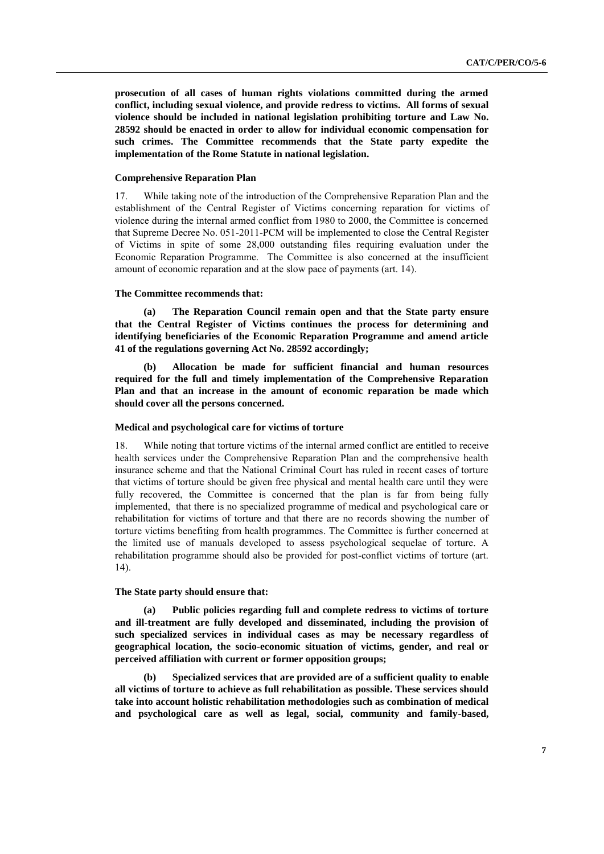**prosecution of all cases of human rights violations committed during the armed conflict, including sexual violence, and provide redress to victims. All forms of sexual violence should be included in national legislation prohibiting torture and Law No. 28592 should be enacted in order to allow for individual economic compensation for such crimes. The Committee recommends that the State party expedite the implementation of the Rome Statute in national legislation.**

## **Comprehensive Reparation Plan**

17. While taking note of the introduction of the Comprehensive Reparation Plan and the establishment of the Central Register of Victims concerning reparation for victims of violence during the internal armed conflict from 1980 to 2000, the Committee is concerned that Supreme Decree No. 051-2011-PCM will be implemented to close the Central Register of Victims in spite of some 28,000 outstanding files requiring evaluation under the Economic Reparation Programme. The Committee is also concerned at the insufficient amount of economic reparation and at the slow pace of payments (art. 14).

## **The Committee recommends that:**

**(a) The Reparation Council remain open and that the State party ensure that the Central Register of Victims continues the process for determining and identifying beneficiaries of the Economic Reparation Programme and amend article 41 of the regulations governing Act No. 28592 accordingly;**

**(b) Allocation be made for sufficient financial and human resources required for the full and timely implementation of the Comprehensive Reparation Plan and that an increase in the amount of economic reparation be made which should cover all the persons concerned.**

## **Medical and psychological care for victims of torture**

18. While noting that torture victims of the internal armed conflict are entitled to receive health services under the Comprehensive Reparation Plan and the comprehensive health insurance scheme and that the National Criminal Court has ruled in recent cases of torture that victims of torture should be given free physical and mental health care until they were fully recovered, the Committee is concerned that the plan is far from being fully implemented, that there is no specialized programme of medical and psychological care or rehabilitation for victims of torture and that there are no records showing the number of torture victims benefiting from health programmes. The Committee is further concerned at the limited use of manuals developed to assess psychological sequelae of torture. A rehabilitation programme should also be provided for post-conflict victims of torture (art. 14).

## **The State party should ensure that:**

**(a) Public policies regarding full and complete redress to victims of torture and ill-treatment are fully developed and disseminated, including the provision of such specialized services in individual cases as may be necessary regardless of geographical location, the socio-economic situation of victims, gender, and real or perceived affiliation with current or former opposition groups;**

**(b) Specialized services that are provided are of a sufficient quality to enable all victims of torture to achieve as full rehabilitation as possible. These services should take into account holistic rehabilitation methodologies such as combination of medical and psychological care as well as legal, social, community and family-based,**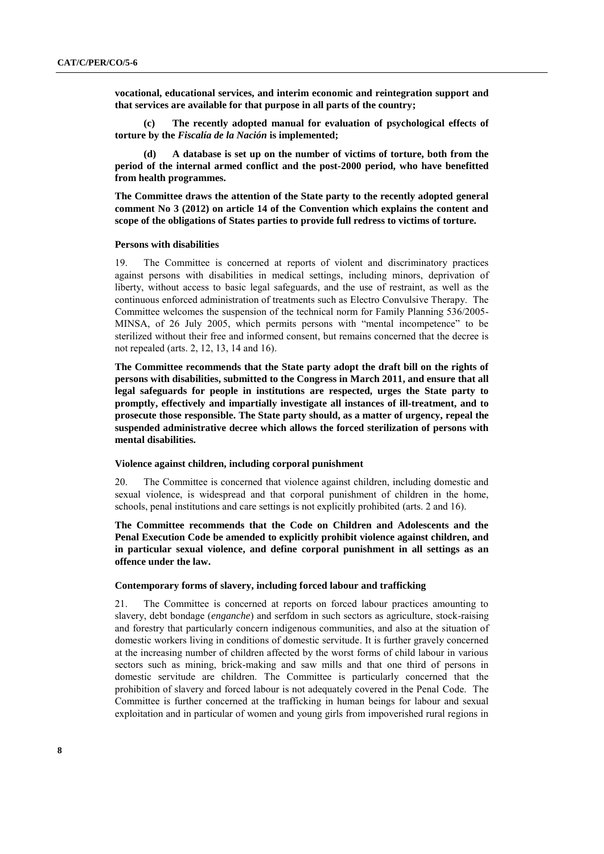**vocational, educational services, and interim economic and reintegration support and that services are available for that purpose in all parts of the country;**

**(c) The recently adopted manual for evaluation of psychological effects of torture by the** *Fiscalía de la Nación* **is implemented;**

**(d) A database is set up on the number of victims of torture, both from the period of the internal armed conflict and the post-2000 period, who have benefitted from health programmes.**

**The Committee draws the attention of the State party to the recently adopted general comment No 3 (2012) on article 14 of the Convention which explains the content and scope of the obligations of States parties to provide full redress to victims of torture.**

#### **Persons with disabilities**

19. The Committee is concerned at reports of violent and discriminatory practices against persons with disabilities in medical settings, including minors, deprivation of liberty, without access to basic legal safeguards, and the use of restraint, as well as the continuous enforced administration of treatments such as Electro Convulsive Therapy. The Committee welcomes the suspension of the technical norm for Family Planning 536/2005- MINSA, of 26 July 2005, which permits persons with "mental incompetence" to be sterilized without their free and informed consent, but remains concerned that the decree is not repealed (arts. 2, 12, 13, 14 and 16).

**The Committee recommends that the State party adopt the draft bill on the rights of persons with disabilities, submitted to the Congress in March 2011, and ensure that all legal safeguards for people in institutions are respected, urges the State party to promptly, effectively and impartially investigate all instances of ill-treatment, and to prosecute those responsible. The State party should, as a matter of urgency, repeal the suspended administrative decree which allows the forced sterilization of persons with mental disabilities.** 

#### **Violence against children, including corporal punishment**

20. The Committee is concerned that violence against children, including domestic and sexual violence, is widespread and that corporal punishment of children in the home, schools, penal institutions and care settings is not explicitly prohibited (arts. 2 and 16).

**The Committee recommends that the Code on Children and Adolescents and the Penal Execution Code be amended to explicitly prohibit violence against children, and in particular sexual violence, and define corporal punishment in all settings as an offence under the law.**

#### **Contemporary forms of slavery, including forced labour and trafficking**

21. The Committee is concerned at reports on forced labour practices amounting to slavery, debt bondage (*enganche*) and serfdom in such sectors as agriculture, stock-raising and forestry that particularly concern indigenous communities, and also at the situation of domestic workers living in conditions of domestic servitude. It is further gravely concerned at the increasing number of children affected by the worst forms of child labour in various sectors such as mining, brick-making and saw mills and that one third of persons in domestic servitude are children. The Committee is particularly concerned that the prohibition of slavery and forced labour is not adequately covered in the Penal Code. The Committee is further concerned at the trafficking in human beings for labour and sexual exploitation and in particular of women and young girls from impoverished rural regions in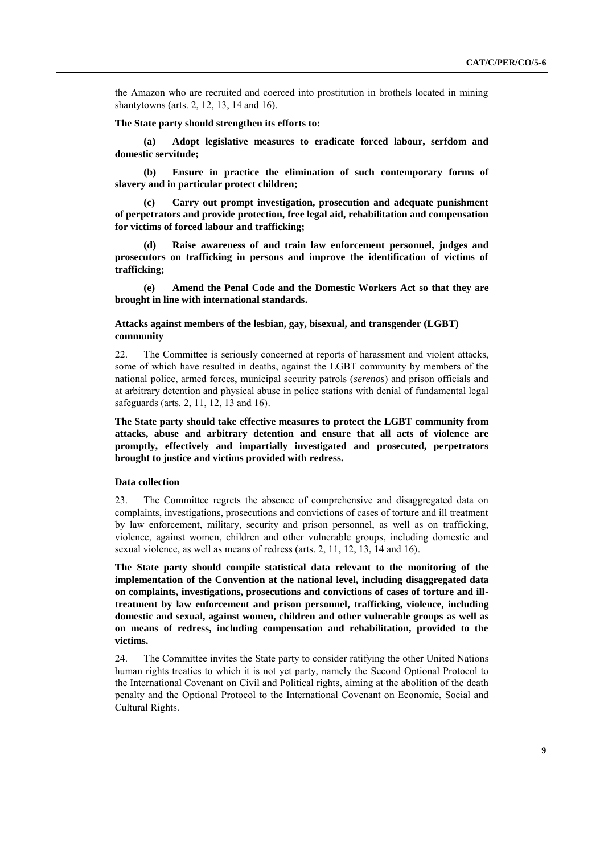the Amazon who are recruited and coerced into prostitution in brothels located in mining shantytowns (arts. 2, 12, 13, 14 and 16).

#### **The State party should strengthen its efforts to:**

**(a) Adopt legislative measures to eradicate forced labour, serfdom and domestic servitude;**

**(b) Ensure in practice the elimination of such contemporary forms of slavery and in particular protect children;**

**(c) Carry out prompt investigation, prosecution and adequate punishment of perpetrators and provide protection, free legal aid, rehabilitation and compensation for victims of forced labour and trafficking;**

**(d) Raise awareness of and train law enforcement personnel, judges and prosecutors on trafficking in persons and improve the identification of victims of trafficking;**

**(e) Amend the Penal Code and the Domestic Workers Act so that they are brought in line with international standards.** 

## **Attacks against members of the lesbian, gay, bisexual, and transgender (LGBT) community**

22. The Committee is seriously concerned at reports of harassment and violent attacks, some of which have resulted in deaths, against the LGBT community by members of the national police, armed forces, municipal security patrols (*serenos*) and prison officials and at arbitrary detention and physical abuse in police stations with denial of fundamental legal safeguards (arts. 2, 11, 12, 13 and 16).

**The State party should take effective measures to protect the LGBT community from attacks, abuse and arbitrary detention and ensure that all acts of violence are promptly, effectively and impartially investigated and prosecuted, perpetrators brought to justice and victims provided with redress.** 

## **Data collection**

23. The Committee regrets the absence of comprehensive and disaggregated data on complaints, investigations, prosecutions and convictions of cases of torture and ill treatment by law enforcement, military, security and prison personnel, as well as on trafficking, violence, against women, children and other vulnerable groups, including domestic and sexual violence, as well as means of redress (arts. 2, 11, 12, 13, 14 and 16).

**The State party should compile statistical data relevant to the monitoring of the implementation of the Convention at the national level, including disaggregated data on complaints, investigations, prosecutions and convictions of cases of torture and illtreatment by law enforcement and prison personnel, trafficking, violence, including domestic and sexual, against women, children and other vulnerable groups as well as on means of redress, including compensation and rehabilitation, provided to the victims.**

24. The Committee invites the State party to consider ratifying the other United Nations human rights treaties to which it is not yet party, namely the Second Optional Protocol to the International Covenant on Civil and Political rights, aiming at the abolition of the death penalty and the Optional Protocol to the International Covenant on Economic, Social and Cultural Rights.